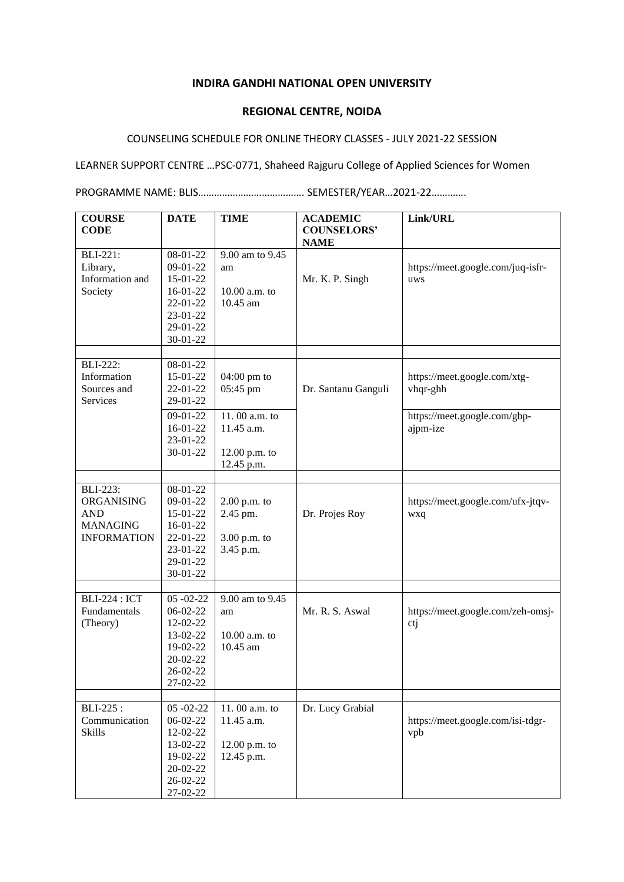## **INDIRA GANDHI NATIONAL OPEN UNIVERSITY**

## **REGIONAL CENTRE, NOIDA**

## COUNSELING SCHEDULE FOR ONLINE THEORY CLASSES - JULY 2021-22 SESSION

## LEARNER SUPPORT CENTRE …PSC-0771, Shaheed Rajguru College of Applied Sciences for Women

PROGRAMME NAME: BLIS…………………………………. SEMESTER/YEAR…2021-22………….

| <b>COURSE</b>              | <b>DATE</b>                  | <b>TIME</b>                 | <b>ACADEMIC</b>                   | Link/URL                          |
|----------------------------|------------------------------|-----------------------------|-----------------------------------|-----------------------------------|
| <b>CODE</b>                |                              |                             | <b>COUNSELORS'</b><br><b>NAME</b> |                                   |
| <b>BLI-221:</b>            | 08-01-22                     | 9.00 am to 9.45             |                                   |                                   |
| Library,                   | $09-01-22$                   | am                          |                                   | https://meet.google.com/juq-isfr- |
| Information and<br>Society | 15-01-22<br>16-01-22         | $10.00$ a.m. to             | Mr. K. P. Singh                   | uws                               |
|                            | 22-01-22                     | 10.45 am                    |                                   |                                   |
|                            | 23-01-22                     |                             |                                   |                                   |
|                            | 29-01-22                     |                             |                                   |                                   |
|                            | 30-01-22                     |                             |                                   |                                   |
| <b>BLI-222:</b>            | 08-01-22                     |                             |                                   |                                   |
| Information                | 15-01-22                     | $04:00 \text{ pm}$ to       |                                   | https://meet.google.com/xtg-      |
| Sources and                | 22-01-22                     | 05:45 pm                    | Dr. Santanu Ganguli               | vhqr-ghh                          |
| Services                   | 29-01-22                     |                             |                                   |                                   |
|                            | $09-01-22$                   | 11.00 a.m. to               |                                   | https://meet.google.com/gbp-      |
|                            | 16-01-22                     | 11.45 a.m.                  |                                   | ajpm-ize                          |
|                            | 23-01-22                     |                             |                                   |                                   |
|                            | 30-01-22                     | 12.00 p.m. to<br>12.45 p.m. |                                   |                                   |
|                            |                              |                             |                                   |                                   |
| <b>BLI-223:</b>            | 08-01-22                     |                             |                                   |                                   |
| ORGANISING                 | 09-01-22                     | $2.00$ p.m. to              |                                   | https://meet.google.com/ufx-jtqv- |
| <b>AND</b>                 | 15-01-22                     | 2.45 pm.                    | Dr. Projes Roy                    | wxq                               |
| <b>MANAGING</b>            | 16-01-22                     |                             |                                   |                                   |
| <b>INFORMATION</b>         | 22-01-22<br>23-01-22         | 3.00 p.m. to                |                                   |                                   |
|                            | 29-01-22                     | 3.45 p.m.                   |                                   |                                   |
|                            | 30-01-22                     |                             |                                   |                                   |
|                            |                              |                             |                                   |                                   |
| <b>BLI-224: ICT</b>        | $05 - 02 - 22$               | 9.00 am to 9.45             |                                   |                                   |
| Fundamentals               | $06-02-22$<br>12-02-22       | am                          | Mr. R. S. Aswal                   | https://meet.google.com/zeh-omsj- |
| (Theory)                   | 13-02-22                     | 10.00 a.m. to               |                                   | ctj                               |
|                            | 19-02-22                     | 10.45 am                    |                                   |                                   |
|                            | $20 - 02 - 22$               |                             |                                   |                                   |
|                            | 26-02-22                     |                             |                                   |                                   |
|                            | 27-02-22                     |                             |                                   |                                   |
|                            |                              |                             |                                   |                                   |
| BLI-225:<br>Communication  | $05 - 02 - 22$<br>$06-02-22$ | 11.00 a.m. to<br>11.45 a.m. | Dr. Lucy Grabial                  | https://meet.google.com/isi-tdgr- |
| <b>Skills</b>              | 12-02-22                     |                             |                                   | vpb                               |
|                            | 13-02-22                     | $12.00$ p.m. to             |                                   |                                   |
|                            | 19-02-22                     | 12.45 p.m.                  |                                   |                                   |
|                            | 20-02-22                     |                             |                                   |                                   |
|                            | 26-02-22                     |                             |                                   |                                   |
|                            | 27-02-22                     |                             |                                   |                                   |